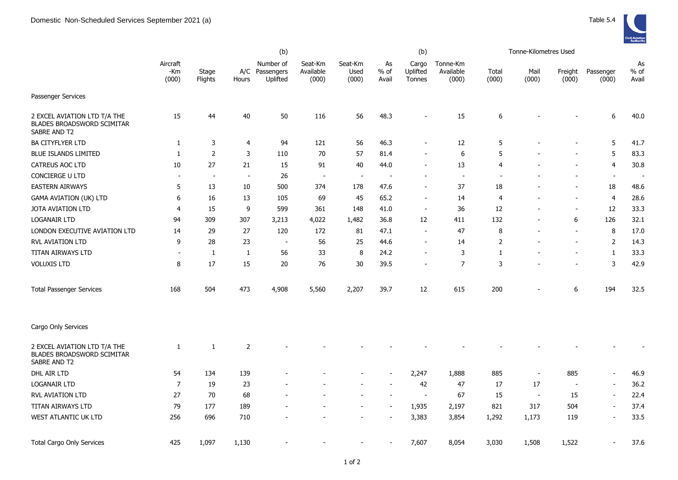|                                                                                   |                          |                  | (b)            |                                         |                               |                          |                          | (b)                         |                                |                          | Tonne-Kilometres Used    |                          |                          |                       |
|-----------------------------------------------------------------------------------|--------------------------|------------------|----------------|-----------------------------------------|-------------------------------|--------------------------|--------------------------|-----------------------------|--------------------------------|--------------------------|--------------------------|--------------------------|--------------------------|-----------------------|
|                                                                                   | Aircraft<br>-Km<br>(000) | Stage<br>Flights | Hours          | Number of<br>A/C Passengers<br>Uplifted | Seat-Km<br>Available<br>(000) | Seat-Km<br>Used<br>(000) | As<br>% of<br>Avail      | Cargo<br>Uplifted<br>Tonnes | Tonne-Km<br>Available<br>(000) | Total<br>(000)           | Mail<br>(000)            | Freight<br>(000)         | Passenger<br>(000)       | As<br>$%$ of<br>Avail |
| Passenger Services                                                                |                          |                  |                |                                         |                               |                          |                          |                             |                                |                          |                          |                          |                          |                       |
| 2 EXCEL AVIATION LTD T/A THE<br>BLADES BROADSWORD SCIMITAR<br>SABRE AND T2        | 15                       | 44               | $40\,$         | 50                                      | 116                           | 56                       | 48.3                     |                             | 15                             | 6                        |                          |                          | 6                        | 40.0                  |
| <b>BA CITYFLYER LTD</b>                                                           | 1                        | 3                | $\overline{4}$ | 94                                      | 121                           | 56                       | 46.3                     |                             | 12                             | 5                        |                          |                          | 5                        | 41.7                  |
| <b>BLUE ISLANDS LIMITED</b>                                                       | 1                        | $\mathbf 2$      | 3              | 110                                     | 70                            | 57                       | 81.4                     |                             | 6                              | 5                        |                          |                          | 5                        | 83.3                  |
| <b>CATREUS AOC LTD</b>                                                            | 10                       | 27               | 21             | 15                                      | 91                            | 40                       | 44.0                     |                             | 13                             | $\overline{4}$           |                          |                          | $\overline{4}$           | 30.8                  |
| CONCIERGE U LTD                                                                   | $\overline{\phantom{a}}$ | $\sim$           | $\sim$         | 26                                      | $\sim$                        | $\overline{\phantom{a}}$ | $\overline{\phantom{a}}$ |                             | $\sim$                         | $\overline{\phantom{a}}$ |                          |                          | $\blacksquare$           | $\sim$                |
| <b>EASTERN AIRWAYS</b>                                                            | 5                        | 13               | 10             | 500                                     | 374                           | 178                      | 47.6                     |                             | 37                             | 18                       |                          | $\blacksquare$           | 18                       | 48.6                  |
| <b>GAMA AVIATION (UK) LTD</b>                                                     | 6                        | 16               | 13             | 105                                     | 69                            | 45                       | 65.2                     |                             | 14                             | $\overline{4}$           |                          |                          | $\overline{4}$           | 28.6                  |
| JOTA AVIATION LTD                                                                 | 4                        | 15               | 9              | 599                                     | 361                           | 148                      | 41.0                     |                             | 36                             | 12                       |                          | $\blacksquare$           | 12                       | 33.3                  |
| <b>LOGANAIR LTD</b>                                                               | 94                       | 309              | 307            | 3,213                                   | 4,022                         | 1,482                    | 36.8                     | 12                          | 411                            | 132                      |                          | 6                        | 126                      | 32.1                  |
| LONDON EXECUTIVE AVIATION LTD                                                     | 14                       | 29               | 27             | 120                                     | 172                           | 81                       | 47.1                     |                             | 47                             | 8                        |                          | $\blacksquare$           | 8                        | 17.0                  |
| <b>RVL AVIATION LTD</b>                                                           | 9                        | 28               | 23             | $\overline{\phantom{a}}$                | 56                            | 25                       | 44.6                     |                             | 14                             | 2                        |                          | $\overline{\phantom{a}}$ | $\overline{2}$           | 14.3                  |
| <b>TITAN AIRWAYS LTD</b>                                                          | $\overline{\phantom{a}}$ | $\mathbf{1}$     | $\mathbf{1}$   | 56                                      | 33                            | 8                        | 24.2                     |                             | 3                              | 1                        |                          | $\overline{\phantom{a}}$ | $\mathbf{1}$             | 33.3                  |
| <b>VOLUXIS LTD</b>                                                                | 8                        | 17               | 15             | 20                                      | 76                            | $30\,$                   | 39.5                     |                             | $\overline{7}$                 | 3                        |                          |                          | 3                        | 42.9                  |
| <b>Total Passenger Services</b>                                                   | 168                      | 504              | 473            | 4,908                                   | 5,560                         | 2,207                    | 39.7                     | 12                          | 615                            | 200                      |                          | 6                        | 194                      | 32.5                  |
| Cargo Only Services                                                               |                          |                  |                |                                         |                               |                          |                          |                             |                                |                          |                          |                          |                          |                       |
| 2 EXCEL AVIATION LTD T/A THE<br><b>BLADES BROADSWORD SCIMITAR</b><br>SABRE AND T2 | $\mathbf{1}$             | $\mathbf{1}$     | $\overline{2}$ |                                         |                               |                          |                          |                             |                                |                          |                          |                          |                          |                       |
| DHL AIR LTD                                                                       | 54                       | 134              | 139            |                                         |                               |                          |                          | 2,247                       | 1,888                          | 885                      | $\overline{\phantom{a}}$ | 885                      | $\overline{\phantom{a}}$ | 46.9                  |
| <b>LOGANAIR LTD</b>                                                               | $\overline{7}$           | 19               | 23             |                                         |                               |                          |                          | 42                          | 47                             | 17                       | 17                       | $\overline{a}$           | $\overline{\phantom{a}}$ | 36.2                  |
| RVL AVIATION LTD                                                                  | 27                       | 70               | 68             |                                         |                               |                          |                          | $\blacksquare$              | 67                             | 15                       | $\sim$                   | 15                       | $\overline{\phantom{a}}$ | 22.4                  |
| TITAN AIRWAYS LTD                                                                 | 79                       | 177              | 189            |                                         |                               |                          |                          | 1,935                       | 2,197                          | 821                      | 317                      | 504                      | $\blacksquare$           | 37.4                  |
| WEST ATLANTIC UK LTD                                                              | 256                      | 696              | 710            |                                         |                               | $\overline{a}$           |                          | 3,383                       | 3,854                          | 1,292                    | 1,173                    | 119                      | $\blacksquare$           | 33.5                  |
| <b>Total Cargo Only Services</b>                                                  | 425                      | 1,097            | 1,130          |                                         |                               |                          |                          | 7,607                       | 8,054                          | 3,030                    | 1,508                    | 1,522                    | $\sim$                   | 37.6                  |